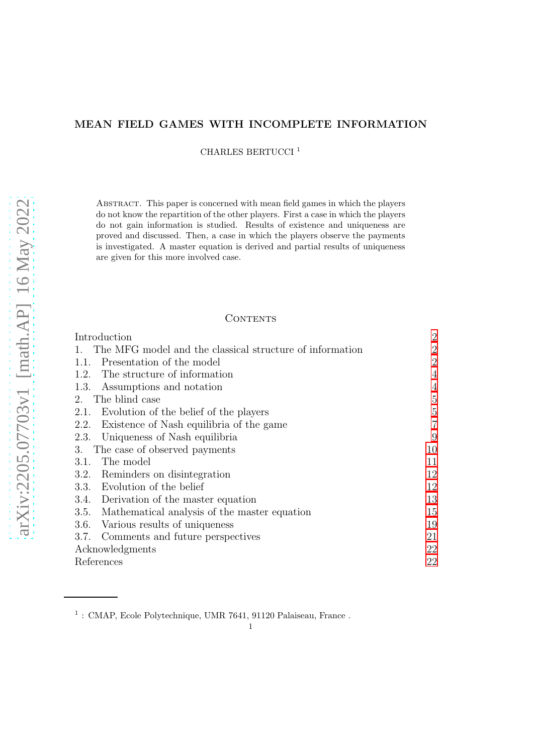# MEAN FIELD GAMES WITH INCOMPLETE INFORMATION

CHARLES BERTUCCI <sup>1</sup>

Abstract. This paper is concerned with mean field games in which the players do not know the repartition of the other players. First a case in which the players do not gain information is studied. Results of existence and uniqueness are proved and discussed. Then, a case in which the players observe the payments is investigated. A master equation is derived and partial results of uniqueness are given for this more involved case.

## **CONTENTS**

| Introduction                                             | $\overline{2}$ |
|----------------------------------------------------------|----------------|
| The MFG model and the classical structure of information | $\overline{2}$ |
| Presentation of the model<br>1.1.                        | $\overline{2}$ |
| The structure of information<br>1.2.                     | 4              |
| Assumptions and notation<br>1.3.                         | 4              |
| The blind case<br>2.                                     | 5              |
| Evolution of the belief of the players<br>2.1.           | 5              |
| Existence of Nash equilibria of the game<br>2.2.         | 7              |
| Uniqueness of Nash equilibria<br>2.3.                    | 9              |
| The case of observed payments<br>3.                      | 10             |
| The model<br>3.1.                                        | 11             |
| Reminders on disintegration<br>3.2.                      | 12             |
| Evolution of the belief<br>3.3.                          | 12             |
| 3.4. Derivation of the master equation                   | 13             |
| Mathematical analysis of the master equation<br>3.5.     | 15             |
| Various results of uniqueness<br>3.6.                    | 19             |
| Comments and future perspectives<br>3.7.                 | 21             |
| Acknowledgments                                          | 22             |
| References                                               | 22             |

 $^1$ : CMAP, Ecole Polytechnique, UMR 7641, 91120 Palaiseau, France .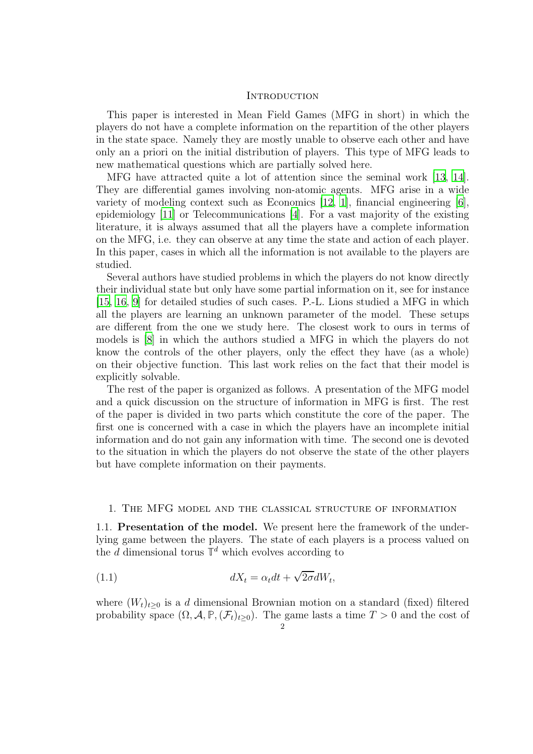### <span id="page-1-0"></span>**INTRODUCTION**

This paper is interested in Mean Field Games (MFG in short) in which the players do not have a complete information on the repartition of the other players in the state space. Namely they are mostly unable to observe each other and have only an a priori on the initial distribution of players. This type of MFG leads to new mathematical questions which are partially solved here.

MFG have attracted quite a lot of attention since the seminal work [\[13](#page-22-0), [14](#page-22-1)]. They are differential games involving non-atomic agents. MFG arise in a wide variety of modeling context such as Economics [\[12,](#page-22-2) [1](#page-21-2)], financial engineering [\[6](#page-21-3)], epidemiology [\[11](#page-22-3)] or Telecommunications [\[4](#page-21-4)]. For a vast majority of the existing literature, it is always assumed that all the players have a complete information on the MFG, i.e. they can observe at any time the state and action of each player. In this paper, cases in which all the information is not available to the players are studied.

Several authors have studied problems in which the players do not know directly their individual state but only have some partial information on it, see for instance [\[15](#page-22-4), [16](#page-22-5), [9](#page-21-5)] for detailed studies of such cases. P.-L. Lions studied a MFG in which all the players are learning an unknown parameter of the model. These setups are different from the one we study here. The closest work to ours in terms of models is [\[8\]](#page-21-6) in which the authors studied a MFG in which the players do not know the controls of the other players, only the effect they have (as a whole) on their objective function. This last work relies on the fact that their model is explicitly solvable.

The rest of the paper is organized as follows. A presentation of the MFG model and a quick discussion on the structure of information in MFG is first. The rest of the paper is divided in two parts which constitute the core of the paper. The first one is concerned with a case in which the players have an incomplete initial information and do not gain any information with time. The second one is devoted to the situation in which the players do not observe the state of the other players but have complete information on their payments.

### <span id="page-1-2"></span><span id="page-1-1"></span>1. The MFG model and the classical structure of information

1.1. Presentation of the model. We present here the framework of the underlying game between the players. The state of each players is a process valued on the  $d$  dimensional torus  $\mathbb{T}^d$  which evolves according to

(1.1) 
$$
dX_t = \alpha_t dt + \sqrt{2\sigma} dW_t,
$$

where  $(W_t)_{t>0}$  is a d dimensional Brownian motion on a standard (fixed) filtered probability space  $(\Omega, \mathcal{A}, \mathbb{P}, (\mathcal{F}_t)_{t\geq 0})$ . The game lasts a time  $T > 0$  and the cost of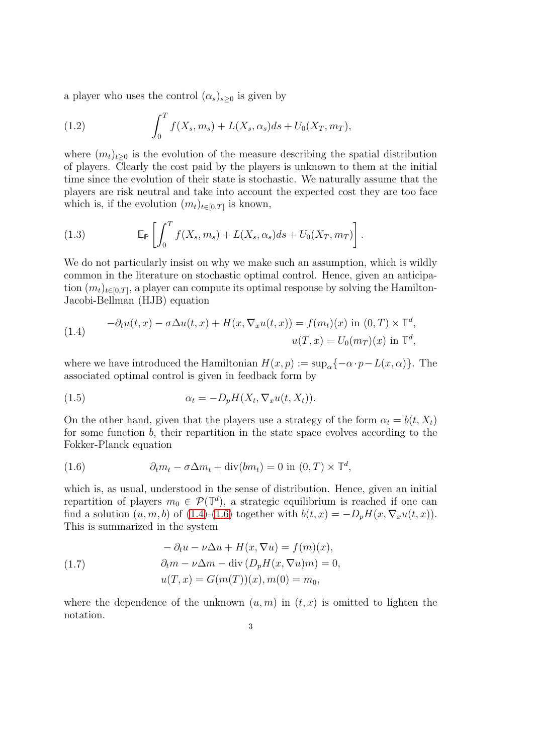a player who uses the control  $(\alpha_s)_{s>0}$  is given by

(1.2) 
$$
\int_0^T f(X_s, m_s) + L(X_s, \alpha_s) ds + U_0(X_T, m_T),
$$

where  $(m_t)_{t\geq 0}$  is the evolution of the measure describing the spatial distribution of players. Clearly the cost paid by the players is unknown to them at the initial time since the evolution of their state is stochastic. We naturally assume that the players are risk neutral and take into account the expected cost they are too face which is, if the evolution  $(m_t)_{t\in[0,T]}$  is known,

(1.3) 
$$
\mathbb{E}_{\mathbb{P}}\left[\int_0^T f(X_s,m_s) + L(X_s,\alpha_s)ds + U_0(X_T,m_T)\right].
$$

We do not particularly insist on why we make such an assumption, which is wildly common in the literature on stochastic optimal control. Hence, given an anticipation  $(m_t)_{t\in[0,T]}$ , a player can compute its optimal response by solving the Hamilton-Jacobi-Bellman (HJB) equation

<span id="page-2-0"></span>(1.4) 
$$
-\partial_t u(t,x) - \sigma \Delta u(t,x) + H(x, \nabla_x u(t,x)) = f(m_t)(x) \text{ in } (0,T) \times \mathbb{T}^d,
$$

$$
u(T,x) = U_0(m_T)(x) \text{ in } \mathbb{T}^d,
$$

where we have introduced the Hamiltonian  $H(x, p) := \sup_{\alpha} \{-\alpha \cdot p - L(x, \alpha)\}\.$  The associated optimal control is given in feedback form by

(1.5) 
$$
\alpha_t = -D_p H(X_t, \nabla_x u(t, X_t)).
$$

On the other hand, given that the players use a strategy of the form  $\alpha_t = b(t, X_t)$ for some function b, their repartition in the state space evolves according to the Fokker-Planck equation

<span id="page-2-1"></span>(1.6) 
$$
\partial_t m_t - \sigma \Delta m_t + \text{div}(bm_t) = 0 \text{ in } (0, T) \times \mathbb{T}^d,
$$

which is, as usual, understood in the sense of distribution. Hence, given an initial repartition of players  $m_0 \in \mathcal{P}(\mathbb{T}^d)$ , a strategic equilibrium is reached if one can find a solution  $(u, m, b)$  of  $(1.4)-(1.6)$  $(1.4)-(1.6)$  together with  $b(t, x) = -D_pH(x, \nabla_x u(t, x)).$ This is summarized in the system

<span id="page-2-2"></span>(1.7) 
$$
- \partial_t u - \nu \Delta u + H(x, \nabla u) = f(m)(x),
$$

$$
\partial_t m - \nu \Delta m - \text{div} (D_p H(x, \nabla u) m) = 0,
$$

$$
u(T, x) = G(m(T))(x), m(0) = m_0,
$$

where the dependence of the unknown  $(u, m)$  in  $(t, x)$  is omitted to lighten the notation.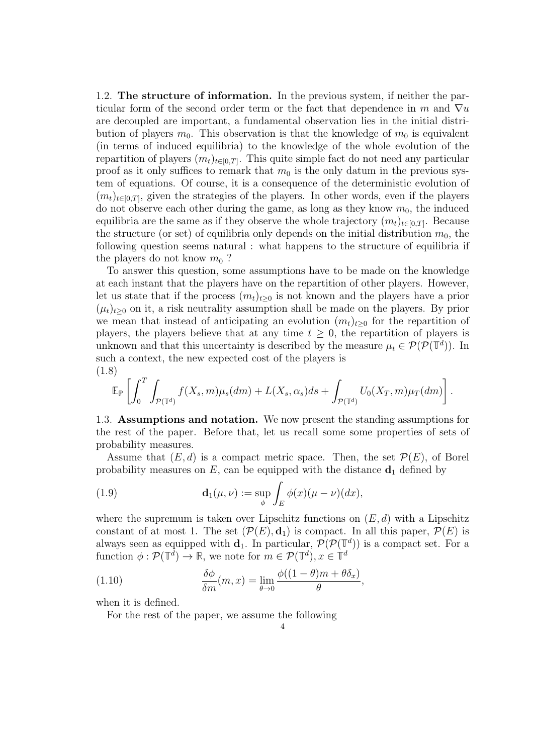<span id="page-3-0"></span>1.2. The structure of information. In the previous system, if neither the particular form of the second order term or the fact that dependence in m and  $\nabla u$ are decoupled are important, a fundamental observation lies in the initial distribution of players  $m_0$ . This observation is that the knowledge of  $m_0$  is equivalent (in terms of induced equilibria) to the knowledge of the whole evolution of the repartition of players  $(m_t)_{t\in[0,T]}$ . This quite simple fact do not need any particular proof as it only suffices to remark that  $m_0$  is the only datum in the previous system of equations. Of course, it is a consequence of the deterministic evolution of  $(m_t)_{t\in[0,T]}$ , given the strategies of the players. In other words, even if the players do not observe each other during the game, as long as they know  $m_0$ , the induced equilibria are the same as if they observe the whole trajectory  $(m_t)_{t\in[0,T]}$ . Because the structure (or set) of equilibria only depends on the initial distribution  $m_0$ , the following question seems natural : what happens to the structure of equilibria if the players do not know  $m_0$ ?

To answer this question, some assumptions have to be made on the knowledge at each instant that the players have on the repartition of other players. However, let us state that if the process  $(m_t)_{t>0}$  is not known and the players have a prior  $(\mu_t)_{t\geq0}$  on it, a risk neutrality assumption shall be made on the players. By prior we mean that instead of anticipating an evolution  $(m_t)_{t>0}$  for the repartition of players, the players believe that at any time  $t \geq 0$ , the repartition of players is unknown and that this uncertainty is described by the measure  $\mu_t \in \mathcal{P}(\mathcal{P}(\mathbb{T}^d))$ . In such a context, the new expected cost of the players is (1.8)

<span id="page-3-2"></span>
$$
\mathbb{E}_{\mathbb{P}}\left[\int_0^T \int_{\mathcal{P}(\mathbb{T}^d)} f(X_s, m) \mu_s(dm) + L(X_s, \alpha_s) ds + \int_{\mathcal{P}(\mathbb{T}^d)} U_0(X_T, m) \mu_T(dm)\right]
$$

.

<span id="page-3-1"></span>1.3. Assumptions and notation. We now present the standing assumptions for the rest of the paper. Before that, let us recall some some properties of sets of probability measures.

Assume that  $(E, d)$  is a compact metric space. Then, the set  $\mathcal{P}(E)$ , of Borel probability measures on  $E$ , can be equipped with the distance  $\mathbf{d}_1$  defined by

(1.9) 
$$
\mathbf{d}_1(\mu,\nu) := \sup_{\phi} \int_E \phi(x) (\mu - \nu)(dx),
$$

where the supremum is taken over Lipschitz functions on  $(E, d)$  with a Lipschitz constant of at most 1. The set  $(\mathcal{P}(E), \mathbf{d}_1)$  is compact. In all this paper,  $\mathcal{P}(E)$  is always seen as equipped with  $\mathbf{d}_1$ . In particular,  $\mathcal{P}(\mathcal{P}(\mathbb{T}^d))$  is a compact set. For a function  $\phi : \mathcal{P}(\mathbb{T}^d) \to \mathbb{R}$ , we note for  $m \in \mathcal{P}(\mathbb{T}^d)$ ,  $x \in \mathbb{T}^d$ 

(1.10) 
$$
\frac{\delta \phi}{\delta m}(m, x) = \lim_{\theta \to 0} \frac{\phi((1 - \theta)m + \theta \delta_x)}{\theta},
$$

when it is defined.

For the rest of the paper, we assume the following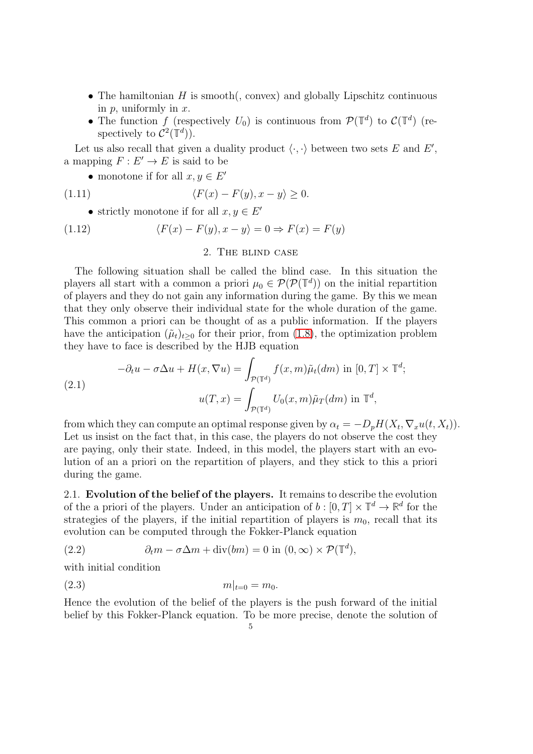- The hamiltonian  $H$  is smooth(, convex) and globally Lipschitz continuous in  $p$ , uniformly in  $x$ .
- The function f (respectively  $U_0$ ) is continuous from  $\mathcal{P}(\mathbb{T}^d)$  to  $\mathcal{C}(\mathbb{T}^d)$  (respectively to  $\mathcal{C}^2(\mathbb{T}^d)$ ).

Let us also recall that given a duality product  $\langle \cdot, \cdot \rangle$  between two sets E and E', a mapping  $F: E' \to E$  is said to be

• monotone if for all  $x, y \in E'$ 

(1.11) 
$$
\langle F(x) - F(y), x - y \rangle \ge 0.
$$

• strictly monotone if for all  $x, y \in E'$ 

<span id="page-4-0"></span>(1.12) 
$$
\langle F(x) - F(y), x - y \rangle = 0 \Rightarrow F(x) = F(y)
$$

2. The blind case

The following situation shall be called the blind case. In this situation the players all start with a common a priori  $\mu_0 \in \mathcal{P}(\mathcal{P}(\mathbb{T}^d))$  on the initial repartition of players and they do not gain any information during the game. By this we mean that they only observe their individual state for the whole duration of the game. This common a priori can be thought of as a public information. If the players have the anticipation  $(\tilde{\mu}_t)_{t>0}$  for their prior, from [\(1.8\)](#page-3-2), the optimization problem they have to face is described by the HJB equation

<span id="page-4-3"></span>(2.1) 
$$
-\partial_t u - \sigma \Delta u + H(x, \nabla u) = \int_{\mathcal{P}(\mathbb{T}^d)} f(x, m) \tilde{\mu}_t(dm) \text{ in } [0, T] \times \mathbb{T}^d;
$$

$$
u(T, x) = \int_{\mathcal{P}(\mathbb{T}^d)} U_0(x, m) \tilde{\mu}_T(dm) \text{ in } \mathbb{T}^d,
$$

from which they can compute an optimal response given by  $\alpha_t = -D_p H(X_t, \nabla_x u(t, X_t)).$ Let us insist on the fact that, in this case, the players do not observe the cost they are paying, only their state. Indeed, in this model, the players start with an evolution of an a priori on the repartition of players, and they stick to this a priori during the game.

<span id="page-4-1"></span>2.1. Evolution of the belief of the players. It remains to describe the evolution of the a priori of the players. Under an anticipation of  $b : [0, T] \times \mathbb{T}^d \to \mathbb{R}^d$  for the strategies of the players, if the initial repartition of players is  $m_0$ , recall that its evolution can be computed through the Fokker-Planck equation

<span id="page-4-2"></span>(2.2) 
$$
\partial_t m - \sigma \Delta m + \text{div}(bm) = 0 \text{ in } (0, \infty) \times \mathcal{P}(\mathbb{T}^d),
$$

with initial condition

$$
(2.3) \t\t\t m|_{t=0} = m_0.
$$

Hence the evolution of the belief of the players is the push forward of the initial belief by this Fokker-Planck equation. To be more precise, denote the solution of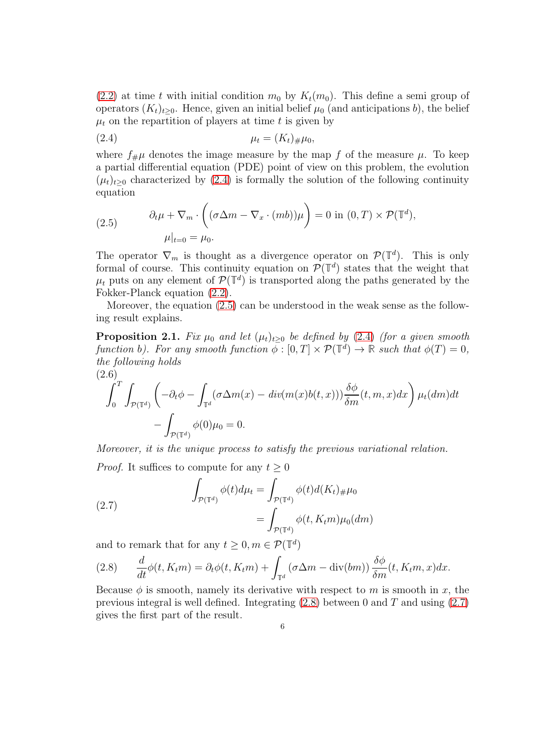[\(2.2\)](#page-4-2) at time t with initial condition  $m_0$  by  $K_t(m_0)$ . This define a semi group of operators  $(K_t)_{t>0}$ . Hence, given an initial belief  $\mu_0$  (and anticipations b), the belief  $\mu_t$  on the repartition of players at time t is given by

<span id="page-5-0"></span>(2.4) 
$$
\mu_t = (K_t)_{\#} \mu_0,
$$

where  $f_{\#}\mu$  denotes the image measure by the map f of the measure  $\mu$ . To keep a partial differential equation (PDE) point of view on this problem, the evolution  $(\mu_t)_{t\geq0}$  characterized by [\(2.4\)](#page-5-0) is formally the solution of the following continuity equation

<span id="page-5-1"></span>(2.5) 
$$
\partial_t \mu + \nabla_m \cdot \left( (\sigma \Delta m - \nabla_x \cdot (mb)) \mu \right) = 0 \text{ in } (0, T) \times \mathcal{P}(\mathbb{T}^d),
$$

$$
\mu|_{t=0} = \mu_0.
$$

The operator  $\nabla_m$  is thought as a divergence operator on  $\mathcal{P}(\mathbb{T}^d)$ . This is only formal of course. This continuity equation on  $\mathcal{P}(\mathbb{T}^d)$  states that the weight that  $\mu_t$  puts on any element of  $\mathcal{P}(\mathbb{T}^d)$  is transported along the paths generated by the Fokker-Planck equation [\(2.2\)](#page-4-2).

Moreover, the equation [\(2.5\)](#page-5-1) can be understood in the weak sense as the following result explains.

<span id="page-5-4"></span>**Proposition 2.1.** Fix  $\mu_0$  and let  $(\mu_t)_{t>0}$  be defined by [\(2.4\)](#page-5-0) (for a given smooth function b). For any smooth function  $\overline{\phi}$ :  $[0,T] \times \mathcal{P}(\mathbb{T}^d) \to \mathbb{R}$  such that  $\phi(T) = 0$ , the following holds (2.6)

$$
\int_0^T \int_{\mathcal{P}(\mathbb{T}^d)} \left( -\partial_t \phi - \int_{\mathbb{T}^d} (\sigma \Delta m(x) - \operatorname{div}(m(x)b(t, x))) \frac{\delta \phi}{\delta m}(t, m, x) dx \right) \mu_t(dm) dt
$$

$$
- \int_{\mathcal{P}(\mathbb{T}^d)} \phi(0) \mu_0 = 0.
$$

Moreover, it is the unique process to satisfy the previous variational relation.

*Proof.* It suffices to compute for any  $t > 0$ 

<span id="page-5-3"></span>(2.7) 
$$
\int_{\mathcal{P}(\mathbb{T}^d)} \phi(t) d\mu_t = \int_{\mathcal{P}(\mathbb{T}^d)} \phi(t) d(K_t)_{\#} \mu_0
$$

$$
= \int_{\mathcal{P}(\mathbb{T}^d)} \phi(t, K_t m) \mu_0(dm)
$$

and to remark that for any  $t \geq 0, m \in \mathcal{P}(\mathbb{T}^d)$ 

<span id="page-5-2"></span>(2.8) 
$$
\frac{d}{dt}\phi(t, K_t m) = \partial_t \phi(t, K_t m) + \int_{\mathbb{T}^d} (\sigma \Delta m - \text{div}(bm)) \frac{\delta \phi}{\delta m}(t, K_t m, x) dx.
$$

Because  $\phi$  is smooth, namely its derivative with respect to m is smooth in x, the previous integral is well defined. Integrating  $(2.8)$  between 0 and T and using  $(2.7)$ gives the first part of the result.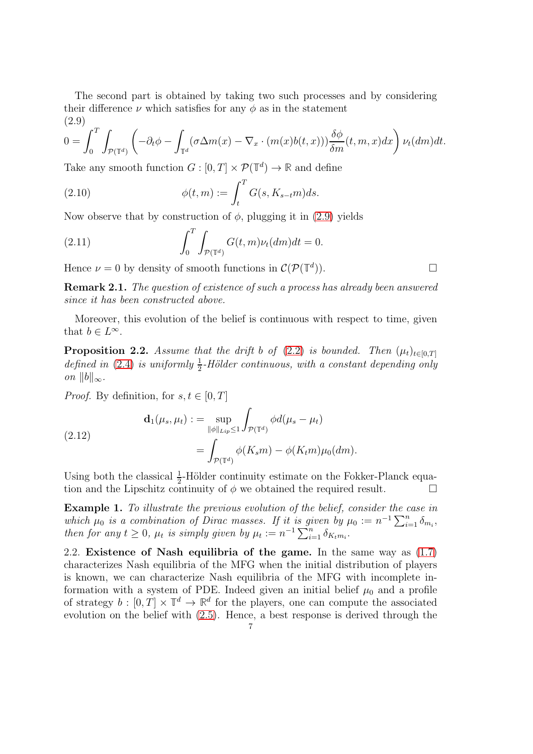The second part is obtained by taking two such processes and by considering their difference  $\nu$  which satisfies for any  $\phi$  as in the statement  $(2.9)$ 

<span id="page-6-1"></span>
$$
0 = \int_0^T \int_{\mathcal{P}(\mathbb{T}^d)} \left( -\partial_t \phi - \int_{\mathbb{T}^d} (\sigma \Delta m(x) - \nabla_x \cdot (m(x)b(t,x))) \frac{\delta \phi}{\delta m}(t, m, x) dx \right) \nu_t(dm) dt.
$$

Take any smooth function  $G : [0, T] \times \mathcal{P}(\mathbb{T}^d) \to \mathbb{R}$  and define

(2.10) 
$$
\phi(t,m) := \int_t^T G(s, K_{s-t}m)ds.
$$

Now observe that by construction of  $\phi$ , plugging it in [\(2.9\)](#page-6-1) yields

(2.11) 
$$
\int_0^T \int_{\mathcal{P}(\mathbb{T}^d)} G(t,m)\nu_t(dm)dt = 0.
$$

Hence  $\nu = 0$  by density of smooth functions in  $\mathcal{C}(\mathcal{P}(\mathbb{T}^d))$ )).  $\qquad \qquad \Box$ 

Remark 2.1. The question of existence of such a process has already been answered since it has been constructed above.

Moreover, this evolution of the belief is continuous with respect to time, given that  $b \in L^{\infty}$ .

<span id="page-6-2"></span>**Proposition 2.2.** Assume that the drift b of [\(2.2\)](#page-4-2) is bounded. Then  $(\mu_t)_{t \in [0,T]}$ defined in [\(2.4\)](#page-5-0) is uniformly  $\frac{1}{2}$ -Hölder continuous, with a constant depending only on  $||b||_{\infty}$ .

*Proof.* By definition, for  $s, t \in [0, T]$ 

(2.12) 
$$
\mathbf{d}_1(\mu_s, \mu_t) := \sup_{\|\phi\|_{Lip} \le 1} \int_{\mathcal{P}(\mathbb{T}^d)} \phi d(\mu_s - \mu_t)
$$

$$
= \int_{\mathcal{P}(\mathbb{T}^d)} \phi(K_s m) - \phi(K_t m) \mu_0(dm).
$$

Using both the classical  $\frac{1}{2}$ -Hölder continuity estimate on the Fokker-Planck equation and the Lipschitz continuity of  $\phi$  we obtained the required result.

Example 1. To illustrate the previous evolution of the belief, consider the case in which  $\mu_0$  is a combination of Dirac masses. If it is given by  $\mu_0 := n^{-1} \sum_{i=1}^n \delta_{m_i}$ , then for any  $t \geq 0$ ,  $\mu_t$  is simply given by  $\mu_t := n^{-1} \sum_{i=1}^n \delta_{K_t m_i}$ .

<span id="page-6-0"></span>2.2. Existence of Nash equilibria of the game. In the same way as [\(1.7\)](#page-2-2) characterizes Nash equilibria of the MFG when the initial distribution of players is known, we can characterize Nash equilibria of the MFG with incomplete information with a system of PDE. Indeed given an initial belief  $\mu_0$  and a profile of strategy  $b : [0, T] \times \mathbb{T}^d \to \mathbb{R}^d$  for the players, one can compute the associated evolution on the belief with [\(2.5\)](#page-5-1). Hence, a best response is derived through the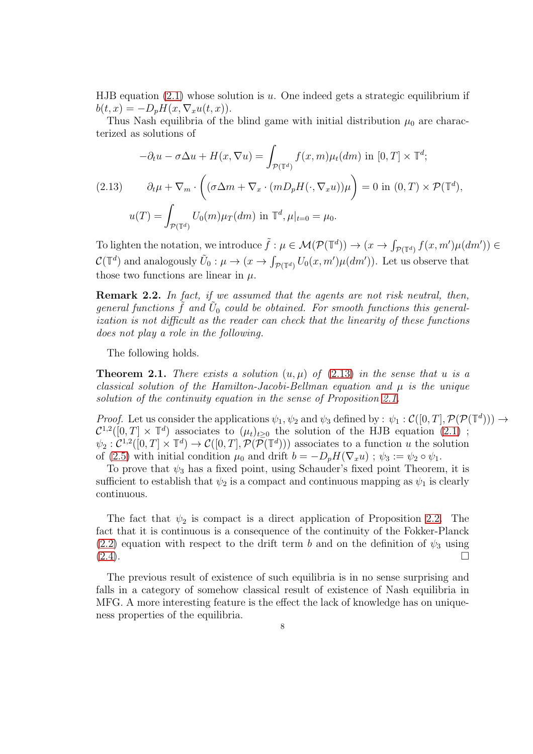HJB equation  $(2.1)$  whose solution is u. One indeed gets a strategic equilibrium if  $b(t, x) = -D_n H(x, \nabla_x u(t, x)).$ 

Thus Nash equilibria of the blind game with initial distribution  $\mu_0$  are characterized as solutions of

<span id="page-7-0"></span>
$$
-\partial_t u - \sigma \Delta u + H(x, \nabla u) = \int_{\mathcal{P}(\mathbb{T}^d)} f(x, m) \mu_t(dm) \text{ in } [0, T] \times \mathbb{T}^d;
$$
  
(2.13) 
$$
\partial_t \mu + \nabla_m \cdot \left( (\sigma \Delta m + \nabla_x \cdot (m D_p H(\cdot, \nabla_x u)) \mu \right) = 0 \text{ in } (0, T) \times \mathcal{P}(\mathbb{T}^d),
$$

$$
u(T) = \int_{\mathcal{P}(\mathbb{T}^d)} U_0(m) \mu_T(dm) \text{ in } \mathbb{T}^d, \mu|_{t=0} = \mu_0.
$$

To lighten the notation, we introduce  $\tilde{f}: \mu \in \mathcal{M}(\mathcal{P}(\mathbb{T}^d)) \to (x \to \int_{\mathcal{P}(\mathbb{T}^d)} f(x, m')\mu(dm')) \in$  $C(\mathbb{T}^d)$  and analogously  $\tilde{U}_0: \mu \to (x \to \int_{\mathcal{P}(\mathbb{T}^d)} U_0(x, m') \mu(dm'))$ . Let us observe that those two functions are linear in  $\mu$ .

Remark 2.2. In fact, if we assumed that the agents are not risk neutral, then, general functions  $\tilde{f}$  and  $\tilde{U}_0$  could be obtained. For smooth functions this generalization is not difficult as the reader can check that the linearity of these functions does not play a role in the following.

The following holds.

**Theorem 2.1.** There exists a solution  $(u, \mu)$  of [\(2.13\)](#page-7-0) in the sense that u is a classical solution of the Hamilton-Jacobi-Bellman equation and  $\mu$  is the unique solution of the continuity equation in the sense of Proposition [2.1.](#page-5-4)

Proof. Let us consider the applications  $\psi_1, \psi_2$  and  $\psi_3$  defined by :  $\psi_1 : \mathcal{C}([0, T], \mathcal{P}(\mathcal{P}(\mathbb{T}^d))) \to$  $\mathcal{C}^{1,2}([0,T] \times \mathbb{T}^d)$  associates to  $(\mu_t)_{t\geq 0}$  the solution of the HJB equation [\(2.1\)](#page-4-3);  $\psi_2 : C^{1,2}([0,T] \times \mathbb{T}^d) \to C([0,T], \mathcal{P}(\mathcal{P}(\mathbb{T}^d)))$  associates to a function u the solution of [\(2.5\)](#page-5-1) with initial condition  $\mu_0$  and drift  $b = -D_pH(\nabla_x u)$ ;  $\psi_3 := \psi_2 \circ \psi_1$ .

To prove that  $\psi_3$  has a fixed point, using Schauder's fixed point Theorem, it is sufficient to establish that  $\psi_2$  is a compact and continuous mapping as  $\psi_1$  is clearly continuous.

The fact that  $\psi_2$  is compact is a direct application of Proposition [2.2.](#page-6-2) The fact that it is continuous is a consequence of the continuity of the Fokker-Planck [\(2.2\)](#page-4-2) equation with respect to the drift term b and on the definition of  $\psi_3$  using  $(2.4)$ .

The previous result of existence of such equilibria is in no sense surprising and falls in a category of somehow classical result of existence of Nash equilibria in MFG. A more interesting feature is the effect the lack of knowledge has on uniqueness properties of the equilibria.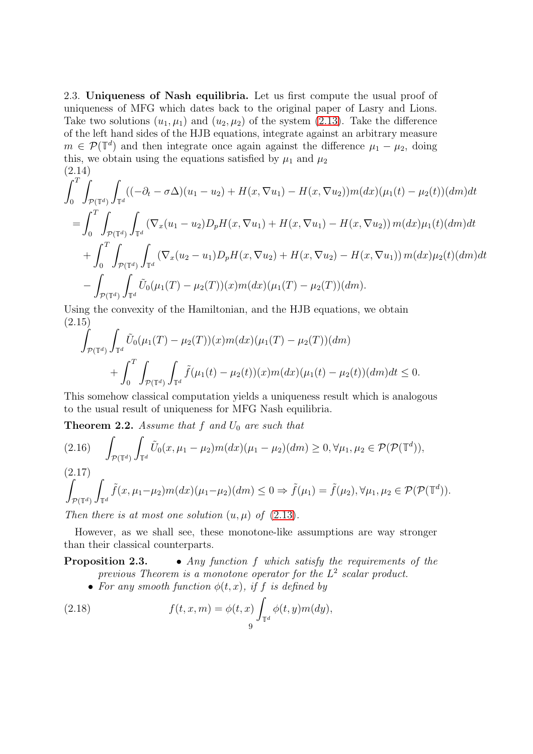<span id="page-8-0"></span>2.3. Uniqueness of Nash equilibria. Let us first compute the usual proof of uniqueness of MFG which dates back to the original paper of Lasry and Lions. Take two solutions  $(u_1, \mu_1)$  and  $(u_2, \mu_2)$  of the system [\(2.13\)](#page-7-0). Take the difference of the left hand sides of the HJB equations, integrate against an arbitrary measure  $m \in \mathcal{P}(\mathbb{T}^d)$  and then integrate once again against the difference  $\mu_1 - \mu_2$ , doing this, we obtain using the equations satisfied by  $\mu_1$  and  $\mu_2$ (2.14)

$$
\int_{0}^{T} \int_{\mathcal{P}(\mathbb{T}^{d})} \int_{\mathbb{T}^{d}} ((-\partial_{t} - \sigma \Delta)(u_{1} - u_{2}) + H(x, \nabla u_{1}) - H(x, \nabla u_{2}))m(dx)(\mu_{1}(t) - \mu_{2}(t))(dm)dt
$$
\n
$$
= \int_{0}^{T} \int_{\mathcal{P}(\mathbb{T}^{d})} \int_{\mathbb{T}^{d}} (\nabla_{x}(u_{1} - u_{2})D_{p}H(x, \nabla u_{1}) + H(x, \nabla u_{1}) - H(x, \nabla u_{2}))m(dx)\mu_{1}(t)(dm)dt
$$
\n
$$
+ \int_{0}^{T} \int_{\mathcal{P}(\mathbb{T}^{d})} \int_{\mathbb{T}^{d}} (\nabla_{x}(u_{2} - u_{1})D_{p}H(x, \nabla u_{2}) + H(x, \nabla u_{2}) - H(x, \nabla u_{1}))m(dx)\mu_{2}(t)(dm)dt
$$
\n
$$
- \int_{\mathcal{P}(\mathbb{T}^{d})} \int_{\mathbb{T}^{d}} \tilde{U}_{0}(\mu_{1}(T) - \mu_{2}(T))(x)m(dx)(\mu_{1}(T) - \mu_{2}(T))(dm).
$$

Using the convexity of the Hamiltonian, and the HJB equations, we obtain (2.15)

$$
\int_{\mathcal{P}(\mathbb{T}^d)} \int_{\mathbb{T}^d} \tilde{U}_0(\mu_1(T) - \mu_2(T))(x) m(dx) (\mu_1(T) - \mu_2(T))(dm) \n+ \int_0^T \int_{\mathcal{P}(\mathbb{T}^d)} \int_{\mathbb{T}^d} \tilde{f}(\mu_1(t) - \mu_2(t))(x) m(dx) (\mu_1(t) - \mu_2(t))(dm) dt \le 0.
$$

This somehow classical computation yields a uniqueness result which is analogous to the usual result of uniqueness for MFG Nash equilibria.

<span id="page-8-1"></span>**Theorem 2.2.** Assume that f and  $U_0$  are such that

$$
(2.16) \quad \int_{\mathcal{P}(\mathbb{T}^d)} \int_{\mathbb{T}^d} \tilde{U}_0(x, \mu_1 - \mu_2) m(dx) (\mu_1 - \mu_2) (dm) \ge 0, \forall \mu_1, \mu_2 \in \mathcal{P}(\mathcal{P}(\mathbb{T}^d)),
$$

 $(2.17)$ 

$$
\int_{\mathcal{P}(\mathbb{T}^d)} \int_{\mathbb{T}^d} \tilde{f}(x, \mu_1 - \mu_2) m(dx) (\mu_1 - \mu_2) (dm) \leq 0 \Rightarrow \tilde{f}(\mu_1) = \tilde{f}(\mu_2), \forall \mu_1, \mu_2 \in \mathcal{P}(\mathcal{P}(\mathbb{T}^d)).
$$

Then there is at most one solution  $(u, \mu)$  of  $(2.13)$ .

However, as we shall see, these monotone-like assumptions are way stronger than their classical counterparts.

# **Proposition 2.3.** • Any function f which satisfy the requirements of the previous Theorem is a monotone operator for the  $L^2$  scalar product.

• For any smooth function  $\phi(t, x)$ , if f is defined by

(2.18) 
$$
f(t,x,m) = \phi(t,x) \int_{\mathbb{T}^d} \phi(t,y)m(dy),
$$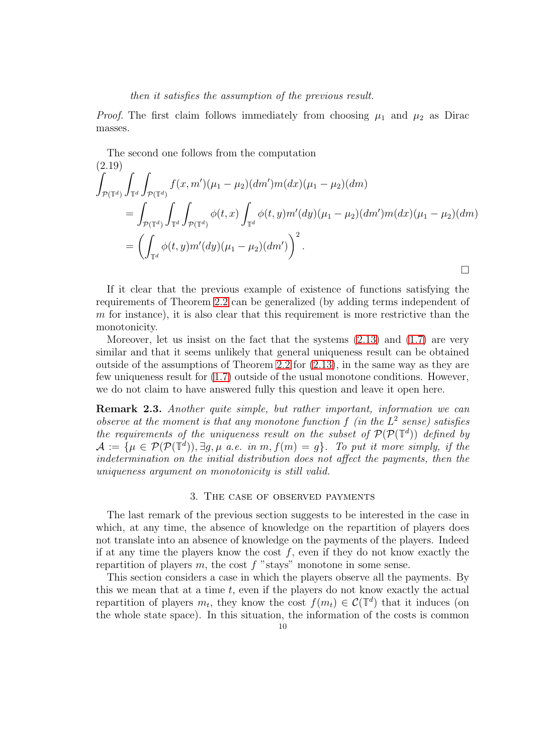### then it satisfies the assumption of the previous result.

*Proof.* The first claim follows immediately from choosing  $\mu_1$  and  $\mu_2$  as Dirac masses.

The second one follows from the computation

$$
(2.19)
$$
\n
$$
\int_{\mathcal{P}(\mathbb{T}^d)} \int_{\mathbb{T}^d} \int_{\mathcal{P}(\mathbb{T}^d)} f(x, m') (\mu_1 - \mu_2) (dm') m(dx) (\mu_1 - \mu_2) (dm)
$$
\n
$$
= \int_{\mathcal{P}(\mathbb{T}^d)} \int_{\mathbb{T}^d} \int_{\mathcal{P}(\mathbb{T}^d)} \phi(t, x) \int_{\mathbb{T}^d} \phi(t, y) m'(dy) (\mu_1 - \mu_2) (dm') m(dx) (\mu_1 - \mu_2) (dm)
$$
\n
$$
= \left( \int_{\mathbb{T}^d} \phi(t, y) m'(dy) (\mu_1 - \mu_2) (dm') \right)^2.
$$

If it clear that the previous example of existence of functions satisfying the requirements of Theorem [2.2](#page-8-1) can be generalized (by adding terms independent of  $m$  for instance), it is also clear that this requirement is more restrictive than the monotonicity.

Moreover, let us insist on the fact that the systems  $(2.13)$  and  $(1.7)$  are very similar and that it seems unlikely that general uniqueness result can be obtained outside of the assumptions of Theorem [2.2](#page-8-1) for [\(2.13\)](#page-7-0), in the same way as they are few uniqueness result for [\(1.7\)](#page-2-2) outside of the usual monotone conditions. However, we do not claim to have answered fully this question and leave it open here.

<span id="page-9-1"></span>Remark 2.3. Another quite simple, but rather important, information we can observe at the moment is that any monotone function  $f$  (in the  $L^2$  sense) satisfies the requirements of the uniqueness result on the subset of  $\mathcal{P}(\mathcal{P}(\mathbb{T}^d))$  defined by  $\mathcal{A} := \{ \mu \in \mathcal{P}(\mathcal{P}(\mathbb{T}^d)), \exists g, \mu \text{ a.e. in } m, f(m) = g \}.$  To put it more simply, if the indetermination on the initial distribution does not affect the payments, then the uniqueness argument on monotonicity is still valid.

### 3. The case of observed payments

<span id="page-9-0"></span>The last remark of the previous section suggests to be interested in the case in which, at any time, the absence of knowledge on the repartition of players does not translate into an absence of knowledge on the payments of the players. Indeed if at any time the players know the cost  $f$ , even if they do not know exactly the repartition of players  $m$ , the cost  $f$  "stays" monotone in some sense.

This section considers a case in which the players observe all the payments. By this we mean that at a time  $t$ , even if the players do not know exactly the actual repartition of players  $m_t$ , they know the cost  $f(m_t) \in \mathcal{C}(\mathbb{T}^d)$  that it induces (on the whole state space). In this situation, the information of the costs is common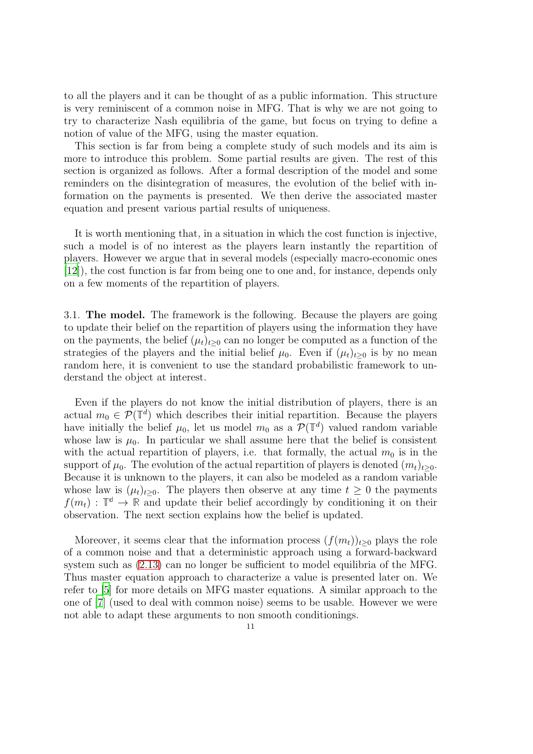to all the players and it can be thought of as a public information. This structure is very reminiscent of a common noise in MFG. That is why we are not going to try to characterize Nash equilibria of the game, but focus on trying to define a notion of value of the MFG, using the master equation.

This section is far from being a complete study of such models and its aim is more to introduce this problem. Some partial results are given. The rest of this section is organized as follows. After a formal description of the model and some reminders on the disintegration of measures, the evolution of the belief with information on the payments is presented. We then derive the associated master equation and present various partial results of uniqueness.

It is worth mentioning that, in a situation in which the cost function is injective, such a model is of no interest as the players learn instantly the repartition of players. However we argue that in several models (especially macro-economic ones [\[12](#page-22-2)]), the cost function is far from being one to one and, for instance, depends only on a few moments of the repartition of players.

<span id="page-10-0"></span>3.1. The model. The framework is the following. Because the players are going to update their belief on the repartition of players using the information they have on the payments, the belief  $(\mu_t)_{t>0}$  can no longer be computed as a function of the strategies of the players and the initial belief  $\mu_0$ . Even if  $(\mu_t)_{t>0}$  is by no mean random here, it is convenient to use the standard probabilistic framework to understand the object at interest.

Even if the players do not know the initial distribution of players, there is an actual  $m_0 \in \mathcal{P}(\mathbb{T}^d)$  which describes their initial repartition. Because the players have initially the belief  $\mu_0$ , let us model  $m_0$  as a  $\mathcal{P}(\mathbb{T}^d)$  valued random variable whose law is  $\mu_0$ . In particular we shall assume here that the belief is consistent with the actual repartition of players, i.e. that formally, the actual  $m_0$  is in the support of  $\mu_0$ . The evolution of the actual repartition of players is denoted  $(m_t)_{t>0}$ . Because it is unknown to the players, it can also be modeled as a random variable whose law is  $(\mu_t)_{t>0}$ . The players then observe at any time  $t \geq 0$  the payments  $f(m_t)$ :  $\mathbb{T}^d \to \mathbb{R}$  and update their belief accordingly by conditioning it on their observation. The next section explains how the belief is updated.

Moreover, it seems clear that the information process  $(f(m_t))_{t\geq 0}$  plays the role of a common noise and that a deterministic approach using a forward-backward system such as [\(2.13\)](#page-7-0) can no longer be sufficient to model equilibria of the MFG. Thus master equation approach to characterize a value is presented later on. We refer to [\[5\]](#page-21-7) for more details on MFG master equations. A similar approach to the one of [\[7\]](#page-21-8) (used to deal with common noise) seems to be usable. However we were not able to adapt these arguments to non smooth conditionings.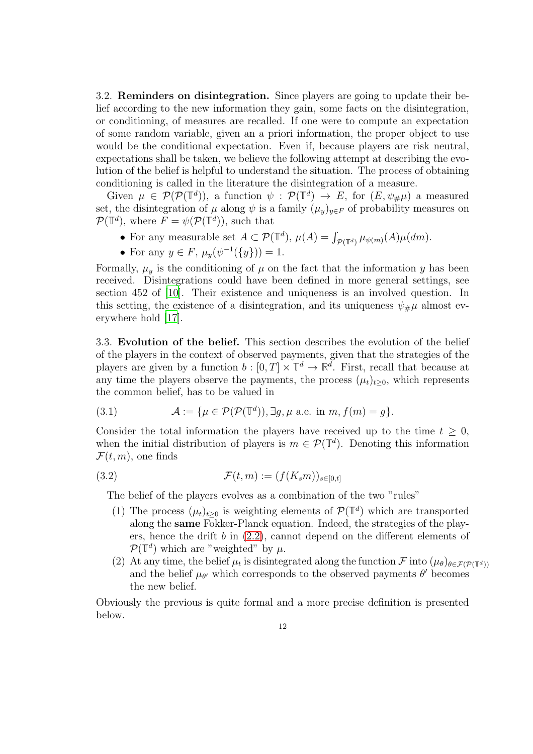<span id="page-11-0"></span>3.2. Reminders on disintegration. Since players are going to update their belief according to the new information they gain, some facts on the disintegration, or conditioning, of measures are recalled. If one were to compute an expectation of some random variable, given an a priori information, the proper object to use would be the conditional expectation. Even if, because players are risk neutral, expectations shall be taken, we believe the following attempt at describing the evolution of the belief is helpful to understand the situation. The process of obtaining conditioning is called in the literature the disintegration of a measure.

Given  $\mu \in \mathcal{P}(\mathcal{P}(\mathbb{T}^d))$ , a function  $\psi : \mathcal{P}(\mathbb{T}^d) \to E$ , for  $(E, \psi_{\#}\mu)$  a measured set, the disintegration of  $\mu$  along  $\psi$  is a family  $(\mu_y)_{y \in F}$  of probability measures on  $\mathcal{P}(\mathbb{T}^d)$ , where  $F = \psi(\mathcal{P}(\mathbb{T}^d))$ , such that

- For any measurable set  $A \subset \mathcal{P}(\mathbb{T}^d)$ ,  $\mu(A) = \int_{\mathcal{P}(\mathbb{T}^d)} \mu_{\psi(m)}(A) \mu(dm)$ .
- For any  $y \in F$ ,  $\mu_y(\psi^{-1}(\{y\})) = 1$ .

Formally,  $\mu_y$  is the conditioning of  $\mu$  on the fact that the information y has been received. Disintegrations could have been defined in more general settings, see section 452 of [\[10](#page-22-6)]. Their existence and uniqueness is an involved question. In this setting, the existence of a disintegration, and its uniqueness  $\psi_{\#}\mu$  almost everywhere hold [\[17\]](#page-22-7).

<span id="page-11-1"></span>3.3. Evolution of the belief. This section describes the evolution of the belief of the players in the context of observed payments, given that the strategies of the players are given by a function  $b : [0, T] \times \mathbb{T}^d \to \mathbb{R}^d$ . First, recall that because at any time the players observe the payments, the process  $(\mu_t)_{t\geq 0}$ , which represents the common belief, has to be valued in

(3.1) 
$$
\mathcal{A} := \{ \mu \in \mathcal{P}(\mathcal{P}(\mathbb{T}^d)), \exists g, \mu \text{ a.e. in } m, f(m) = g \}.
$$

Consider the total information the players have received up to the time  $t > 0$ , when the initial distribution of players is  $m \in \mathcal{P}(\mathbb{T}^d)$ . Denoting this information  $\mathcal{F}(t,m)$ , one finds

$$
\mathcal{F}(t,m) := (f(K_s m))_{s \in [0,t]}
$$

The belief of the players evolves as a combination of the two "rules"

- (1) The process  $(\mu_t)_{t\geq 0}$  is weighting elements of  $\mathcal{P}(\mathbb{T}^d)$  which are transported along the same Fokker-Planck equation. Indeed, the strategies of the players, hence the drift  $b$  in  $(2.2)$ , cannot depend on the different elements of  $\mathcal{P}(\mathbb{T}^d)$  which are "weighted" by  $\mu$ .
- (2) At any time, the belief  $\mu_t$  is disintegrated along the function  $\mathcal{F}$  into  $(\mu_\theta)_{\theta \in \mathcal{F}(\mathcal{P}(\mathbb{T}^d))}$ and the belief  $\mu_{\theta'}$  which corresponds to the observed payments  $\theta'$  becomes the new belief.

Obviously the previous is quite formal and a more precise definition is presented below.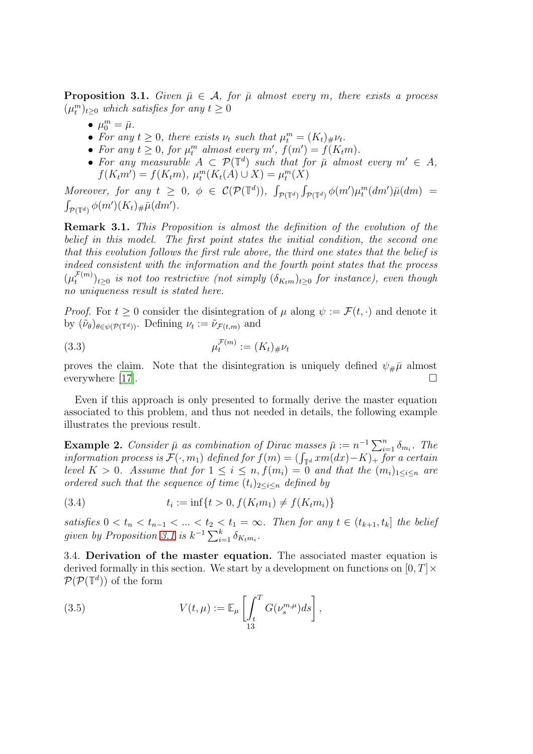<span id="page-12-1"></span>**Proposition 3.1.** Given  $\bar{\mu} \in A$ , for  $\bar{\mu}$  almost every m, there exists a process  $(\mu_t^m)_{t\geq 0}$  which satisfies for any  $t \geq 0$ 

- $\mu_0^m = \bar{\mu}$ .
- For any  $t \geq 0$ , there exists  $\nu_t$  such that  $\mu_t^m = (K_t)_{\#}\nu_t$ .
- For any  $t \geq 0$ , for  $\mu_t^m$  almost every  $m'$ ,  $f(m') = f(K_t m)$ .
- For any measurable  $A \subset \mathcal{P}(\mathbb{T}^d)$  such that for  $\bar{\mu}$  almost every  $m' \in A$ ,  $f(K_t m') = f(K_t m), \ \mu_t^m(K_t(A) \cup X) = \mu_t^m(X)$

Moreover, for any  $t \geq 0$ ,  $\phi \in C(\mathcal{P}(\mathbb{T}^d))$ ,  $\int_{\mathcal{P}(\mathbb{T}^d)} \int_{\mathcal{P}(\mathbb{T}^d)} \phi(m') \mu_t^m(dm')\bar{\mu}(dm) =$  $\int_{\mathcal{P}(\mathbb{T}^d)} \phi(m')(K_t)_\# \bar{\mu}(dm').$ 

Remark 3.1. This Proposition is almost the definition of the evolution of the belief in this model. The first point states the initial condition, the second one that this evolution follows the first rule above, the third one states that the belief is indeed consistent with the information and the fourth point states that the process  $(\mu_t^{\mathcal{F}(m)}$  $(t^{(m)}_{t})_{t\geq 0}$  is not too restrictive (not simply  $(\delta_{Ktm})_{t\geq 0}$  for instance), even though no uniqueness result is stated here.

*Proof.* For  $t \geq 0$  consider the disintegration of  $\mu$  along  $\psi := \mathcal{F}(t, \cdot)$  and denote it by  $(\tilde{\nu}_{\theta})_{\theta \in \psi(\mathcal{P}(\mathbb{T}^d))}$ . Defining  $\nu_t := \tilde{\nu}_{\mathcal{F}(t,m)}$  and

(3.3) 
$$
\mu_t^{\mathcal{F}(m)} := (K_t)_{\#}\nu_t
$$

proves the claim. Note that the disintegration is uniquely defined  $\psi_{\#}\bar{\mu}$  almost everywhere [\[17](#page-22-7)].  $\Box$ 

Even if this approach is only presented to formally derive the master equation associated to this problem, and thus not needed in details, the following example illustrates the previous result.

**Example 2.** Consider  $\bar{\mu}$  as combination of Dirac masses  $\bar{\mu} := n^{-1} \sum_{i=1}^{n} \delta_{m_i}$ . The information process is  $\mathcal{F}(\cdot, m_1)$  defined for  $f(m) = (\int_{\mathbb{T}^d} xm(dx) - K)_+$  for a certain level  $K > 0$ . Assume that for  $1 \leq i \leq n$ ,  $f(m_i) = 0$  and that the  $(m_i)_{1 \leq i \leq n}$  are ordered such that the sequence of time  $(t_i)_{1\leq i\leq n}$  defined by

(3.4) 
$$
t_i := \inf\{t > 0, f(K_t m_1) \neq f(K_t m_i)\}
$$

satisfies  $0 < t_n < t_{n-1} < ... < t_2 < t_1 = \infty$ . Then for any  $t \in (t_{k+1}, t_k]$  the belief given by Proposition [3.1](#page-12-1) is  $k^{-1} \sum_{i=1}^{k} \delta_{K_t m_i}$ .

<span id="page-12-0"></span>3.4. Derivation of the master equation. The associated master equation is derived formally in this section. We start by a development on functions on  $[0, T] \times$  $\mathcal{P}(\mathcal{P}(\mathbb{T}^d))$  of the form

(3.5) 
$$
V(t,\mu) := \mathbb{E}_{\mu} \left[ \int_{t}^{T} G(\nu_s^{m,\mu}) ds \right],
$$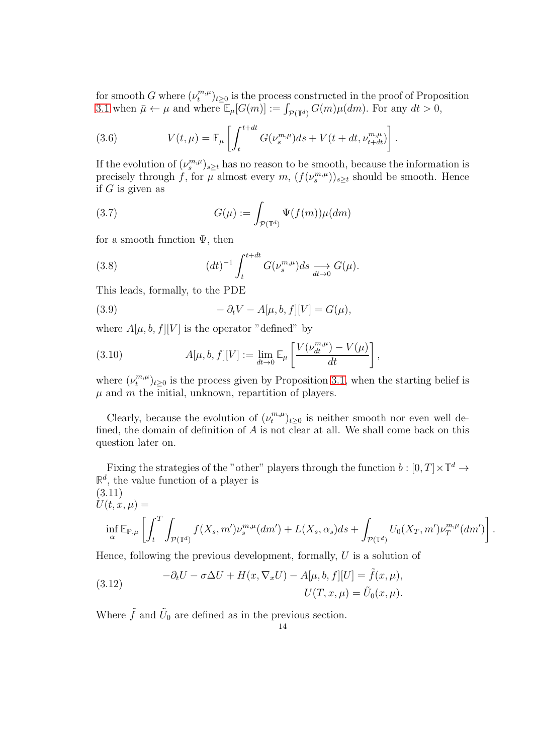for smooth G where  $(\nu_t^{m,\mu})$  $(t^{m,\mu}_{t})_{t\geq0}$  is the process constructed in the proof of Proposition [3.1](#page-12-1) when  $\bar{\mu} \leftarrow \mu$  and where  $\mathbb{E}_{\mu}[G(m)] := \int_{\mathcal{P}(\mathbb{T}^d)} G(m)\mu(dm)$ . For any  $dt > 0$ ,

(3.6) 
$$
V(t,\mu) = \mathbb{E}_{\mu} \left[ \int_{t}^{t+dt} G(\nu_s^{m,\mu}) ds + V(t+dt, \nu_{t+dt}^{m,\mu}) \right].
$$

If the evolution of  $(\nu_s^{m,\mu})_{s\geq t}$  has no reason to be smooth, because the information is precisely through f, for  $\mu$  almost every  $m$ ,  $(f(\nu_s^{m,\mu}))_{s\geq t}$  should be smooth. Hence if  $G$  is given as

(3.7) 
$$
G(\mu) := \int_{\mathcal{P}(\mathbb{T}^d)} \Psi(f(m)) \mu(dm)
$$

for a smooth function  $\Psi$ , then

(3.8) 
$$
(dt)^{-1} \int_{t}^{t+dt} G(\nu_s^{m,\mu}) ds \underset{dt \to 0}{\longrightarrow} G(\mu).
$$

This leads, formally, to the PDE

(3.9) 
$$
-\partial_t V - A[\mu, b, f][V] = G(\mu),
$$

where  $A[\mu, b, f][V]$  is the operator "defined" by

(3.10) 
$$
A[\mu, b, f][V] := \lim_{dt \to 0} \mathbb{E}_{\mu} \left[ \frac{V(\nu_{dt}^{m,\mu}) - V(\mu)}{dt} \right],
$$

where  $(\nu_t^{m,\mu})$  $(t^{m,\mu}_{t})_{t\geq0}$  is the process given by Proposition [3.1,](#page-12-1) when the starting belief is  $\mu$  and  $m$  the initial, unknown, repartition of players.

Clearly, because the evolution of  $(\nu_t^{m,\mu})$  $(t^{m,\mu}_t)_{t\geq 0}$  is neither smooth nor even well defined, the domain of definition of  $A$  is not clear at all. We shall come back on this question later on.

Fixing the strategies of the "other" players through the function  $b : [0, T] \times \mathbb{T}^d \to$  $\mathbb{R}^d$ , the value function of a player is

(3.11)  
\n
$$
U(t, x, \mu) = \inf_{\alpha} \mathbb{E}_{\mathbb{P}, \mu} \left[ \int_t^T \int_{\mathcal{P}(\mathbb{T}^d)} f(X_s, m') \nu_s^{m, \mu}(dm') + L(X_s, \alpha_s) ds + \int_{\mathcal{P}(\mathbb{T}^d)} U_0(X_T, m') \nu_T^{m, \mu}(dm') \right].
$$

Hence, following the previous development, formally,  $U$  is a solution of

(3.12) 
$$
-\partial_t U - \sigma \Delta U + H(x, \nabla_x U) - A[\mu, b, f][U] = \tilde{f}(x, \mu),
$$

$$
U(T, x, \mu) = \tilde{U}_0(x, \mu).
$$

Where  $\tilde{f}$  and  $\tilde{U}_0$  are defined as in the previous section.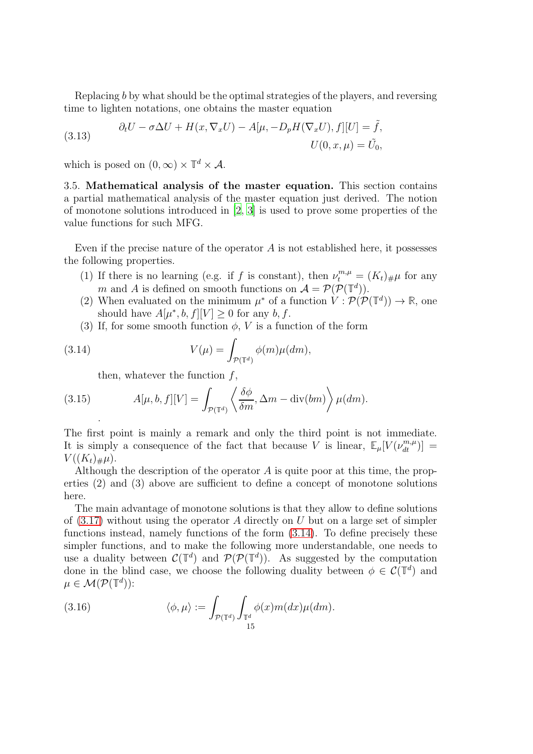Replacing b by what should be the optimal strategies of the players, and reversing time to lighten notations, one obtains the master equation

(3.13) 
$$
\partial_t U - \sigma \Delta U + H(x, \nabla_x U) - A[\mu, -D_p H(\nabla_x U), f][U] = \tilde{f},
$$

$$
U(0, x, \mu) = \tilde{U}_0,
$$

<span id="page-14-0"></span>which is posed on  $(0, \infty) \times \mathbb{T}^d \times \mathcal{A}$ .

3.5. Mathematical analysis of the master equation. This section contains a partial mathematical analysis of the master equation just derived. The notion of monotone solutions introduced in [\[2](#page-21-9), [3](#page-21-10)] is used to prove some properties of the value functions for such MFG.

Even if the precise nature of the operator  $A$  is not established here, it possesses the following properties.

- (1) If there is no learning (e.g. if f is constant), then  $\nu_t^{m,\mu} = (K_t)_{\#}\mu$  for any m and A is defined on smooth functions on  $\mathcal{A} = \mathcal{P}(\mathcal{P}(\mathbb{T}^d)).$
- (2) When evaluated on the minimum  $\mu^*$  of a function  $V : \mathcal{P}(\mathcal{P}(\mathbb{T}^d)) \to \mathbb{R}$ , one should have  $A[\mu^*, b, f][V] \geq 0$  for any  $b, f$ .
- (3) If, for some smooth function  $\phi$ , V is a function of the form

(3.14) 
$$
V(\mu) = \int_{\mathcal{P}(\mathbb{T}^d)} \phi(m) \mu(dm),
$$

<span id="page-14-2"></span><span id="page-14-1"></span>then, whatever the function  $f$ ,

(3.15) 
$$
A[\mu, b, f][V] = \int_{\mathcal{P}(\mathbb{T}^d)} \left\langle \frac{\delta \phi}{\delta m}, \Delta m - \text{div}(bm) \right\rangle \mu(dm).
$$

The first point is mainly a remark and only the third point is not immediate. It is simply a consequence of the fact that because V is linear,  $\mathbb{E}_{\mu}[V(\nu_{dt}^{m,\mu})] =$  $V((K_t)_\# \mu).$ 

Although the description of the operator A is quite poor at this time, the properties (2) and (3) above are sufficient to define a concept of monotone solutions here.

The main advantage of monotone solutions is that they allow to define solutions of  $(3.17)$  without using the operator A directly on U but on a large set of simpler functions instead, namely functions of the form [\(3.14\)](#page-14-1). To define precisely these simpler functions, and to make the following more understandable, one needs to use a duality between  $\mathcal{C}(\mathbb{T}^d)$  and  $\mathcal{P}(\mathcal{P}(\mathbb{T}^d))$ . As suggested by the computation done in the blind case, we choose the following duality between  $\phi \in \mathcal{C}(\mathbb{T}^d)$  and  $\mu \in \mathcal{M}(\mathcal{P}(\mathbb{T}^d))$ :

(3.16) 
$$
\langle \phi, \mu \rangle := \int_{\mathcal{P}(\mathbb{T}^d)} \int_{\mathbb{T}^d} \phi(x) m(dx) \mu(dm).
$$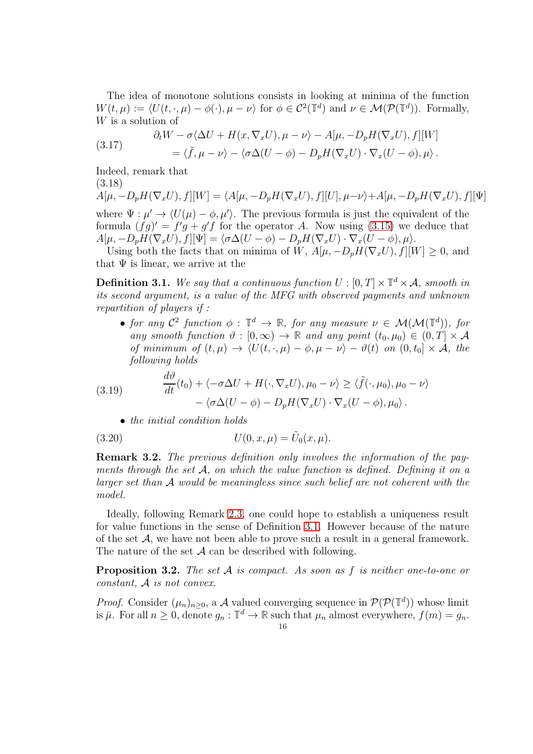The idea of monotone solutions consists in looking at minima of the function  $W(t, \mu) := \langle U(t, \cdot, \mu) - \phi(\cdot), \mu - \nu \rangle$  for  $\phi \in C^2(\mathbb{T}^d)$  and  $\nu \in \mathcal{M}(\mathcal{P}(\mathbb{T}^d))$ . Formally, W is a solution of

<span id="page-15-0"></span>(3.17) 
$$
\partial_t W - \sigma \langle \Delta U + H(x, \nabla_x U), \mu - \nu \rangle - A[\mu, -D_p H(\nabla_x U), f][W] = \langle \tilde{f}, \mu - \nu \rangle - \langle \sigma \Delta (U - \phi) - D_p H(\nabla_x U) \cdot \nabla_x (U - \phi), \mu \rangle.
$$

Indeed, remark that (3.18)

 $A[\mu, -D_pH(\nabla_x U), f][W] = \langle A[\mu, -D_pH(\nabla_x U), f][U], \mu-\nu\rangle+A[\mu, -D_pH(\nabla_x U), f][\Psi]$ where  $\Psi : \mu' \to \langle U(\mu) - \phi, \mu' \rangle$ . The previous formula is just the equivalent of the formula  $(fg)' = f'g + g'f$  for the operator A. Now using [\(3.15\)](#page-14-2) we deduce that  $A[\mu, -D_pH(\nabla_x U), f][\Psi] = \langle \sigma \Delta(U - \phi) - D_pH(\nabla_x U) \cdot \nabla_x (U - \phi), \mu \rangle.$ 

Using both the facts that on minima of W,  $A[\mu, -D_pH(\nabla_x U), f][W] \geq 0$ , and that  $\Psi$  is linear, we arrive at the

<span id="page-15-1"></span>**Definition 3.1.** We say that a continuous function  $U : [0, T] \times \mathbb{T}^d \times \mathcal{A}$ , smooth in its second argument, is a value of the MFG with observed payments and unknown repartition of players if :

• for any  $C^2$  function  $\phi : \mathbb{T}^d \to \mathbb{R}$ , for any measure  $\nu \in \mathcal{M}(\mathcal{M}(\mathbb{T}^d))$ , for any smooth function  $\vartheta : [0, \infty) \to \mathbb{R}$  and any point  $(t_0, \mu_0) \in (0, T] \times \mathcal{A}$ of minimum of  $(t, \mu) \rightarrow \langle U(t, \cdot, \mu) - \phi, \mu - \nu \rangle - \vartheta(t)$  on  $(0, t_0] \times \mathcal{A}$ , the following holds

(3.19) 
$$
\frac{d\vartheta}{dt}(t_0) + \langle -\sigma \Delta U + H(\cdot, \nabla_x U), \mu_0 - \nu \rangle \ge \langle \tilde{f}(\cdot, \mu_0), \mu_0 - \nu \rangle - \langle \sigma \Delta (U - \phi) - D_p H(\nabla_x U) \cdot \nabla_x (U - \phi), \mu_0 \rangle.
$$

• the initial condition holds

(3.20) 
$$
U(0, x, \mu) = \tilde{U}_0(x, \mu).
$$

**Remark 3.2.** The previous definition only involves the information of the payments through the set  $\mathcal{A}$ , on which the value function is defined. Defining it on a larger set than A would be meaningless since such belief are not coherent with the model.

Ideally, following Remark [2.3,](#page-9-1) one could hope to establish a uniqueness result for value functions in the sense of Definition [3.1.](#page-15-1) However because of the nature of the set  $A$ , we have not been able to prove such a result in a general framework. The nature of the set  $A$  can be described with following.

**Proposition 3.2.** The set  $A$  is compact. As soon as  $f$  is neither one-to-one or constant, A is not convex.

*Proof.* Consider  $(\mu_n)_{n\geq 0}$ , a A valued converging sequence in  $\mathcal{P}(\mathcal{P}(\mathbb{T}^d))$  whose limit is  $\bar{\mu}$ . For all  $n \geq 0$ , denote  $g_n : \mathbb{T}^d \to \mathbb{R}$  such that  $\mu_n$  almost everywhere,  $f(m) = g_n$ .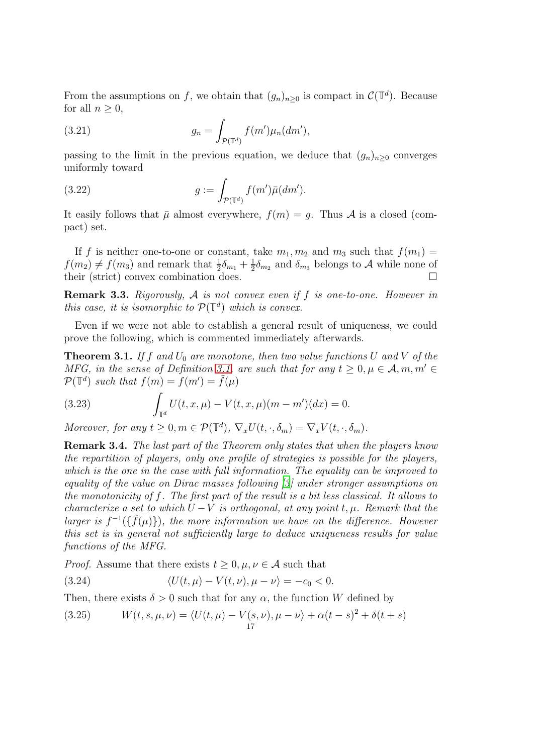From the assumptions on f, we obtain that  $(g_n)_{n\geq 0}$  is compact in  $\mathcal{C}(\mathbb{T}^d)$ . Because for all  $n \geq 0$ ,

(3.21) 
$$
g_n = \int_{\mathcal{P}(\mathbb{T}^d)} f(m') \mu_n(dm'),
$$

passing to the limit in the previous equation, we deduce that  $(g_n)_{n\geq 0}$  converges uniformly toward

(3.22) 
$$
g := \int_{\mathcal{P}(\mathbb{T}^d)} f(m') \bar{\mu}(dm').
$$

It easily follows that  $\bar{\mu}$  almost everywhere,  $f(m) = q$ . Thus A is a closed (compact) set.

If f is neither one-to-one or constant, take  $m_1, m_2$  and  $m_3$  such that  $f(m_1) =$  $f(m_2) \neq f(m_3)$  and remark that  $\frac{1}{2}\delta_{m_1} + \frac{1}{2}$  $\frac{1}{2}\delta_{m_2}$  and  $\delta_{m_3}$  belongs to A while none of their (strict) convex combination does.

**Remark 3.3.** Rigorously,  $A$  is not convex even if  $f$  is one-to-one. However in this case, it is isomorphic to  $\mathcal{P}(\mathbb{T}^d)$  which is convex.

Even if we were not able to establish a general result of uniqueness, we could prove the following, which is commented immediately afterwards.

<span id="page-16-0"></span>**Theorem 3.1.** If f and  $U_0$  are monotone, then two value functions U and V of the MFG, in the sense of Definition [3.1,](#page-15-1) are such that for any  $t \geq 0, \mu \in A, m, m' \in A$  $\mathcal{P}(\mathbb{T}^d)$  such that  $f(m) = f(m') = \tilde{f}(\mu)$ 

(3.23) 
$$
\int_{\mathbb{T}^d} U(t, x, \mu) - V(t, x, \mu)(m - m')(dx) = 0.
$$

Moreover, for any  $t \geq 0, m \in \mathcal{P}(\mathbb{T}^d), \nabla_x U(t, \cdot, \delta_m) = \nabla_x V(t, \cdot, \delta_m)$ .

Remark 3.4. The last part of the Theorem only states that when the players know the repartition of players, only one profile of strategies is possible for the players, which is the one in the case with full information. The equality can be improved to equality of the value on Dirac masses following [\[3\]](#page-21-10) under stronger assumptions on the monotonicity of f. The first part of the result is a bit less classical. It allows to characterize a set to which  $U - V$  is orthogonal, at any point t,  $\mu$ . Remark that the larger is  $f^{-1}(\{\tilde{f}(\mu)\})$ , the more information we have on the difference. However this set is in general not sufficiently large to deduce uniqueness results for value functions of the MFG.

*Proof.* Assume that there exists  $t \geq 0, \mu, \nu \in \mathcal{A}$  such that

(3.24) 
$$
\langle U(t,\mu) - V(t,\nu), \mu - \nu \rangle = -c_0 < 0.
$$

Then, there exists  $\delta > 0$  such that for any  $\alpha$ , the function W defined by

(3.25) 
$$
W(t, s, \mu, \nu) = \langle U(t, \mu) - V(s, \nu), \mu - \nu \rangle + \alpha (t - s)^2 + \delta (t + s)
$$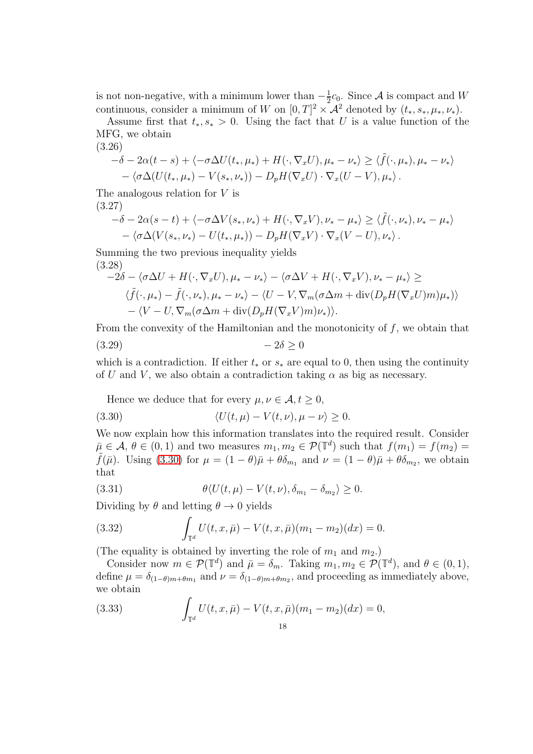is not non-negative, with a minimum lower than  $-\frac{1}{2}$  $\frac{1}{2}c_0$ . Since A is compact and W continuous, consider a minimum of W on  $[0, T]^2 \times \mathcal{A}^2$  denoted by  $(t_*, s_*, \mu_*, \nu_*)$ .

Assume first that  $t_*, s_* > 0$ . Using the fact that U is a value function of the MFG, we obtain (3.26)

$$
-\delta - 2\alpha(t-s) + \langle -\sigma \Delta U(t_*, \mu_*) + H(\cdot, \nabla_x U), \mu_* - \nu_* \rangle \ge \langle \tilde{f}(\cdot, \mu_*), \mu_* - \nu_* \rangle - \langle \sigma \Delta (U(t_*, \mu_*) - V(s_*, \nu_*)) - D_p H(\nabla_x U) \cdot \nabla_x (U - V), \mu_* \rangle.
$$

The analogous relation for  $V$  is (3.27)

$$
-\delta - 2\alpha(s-t) + \langle -\sigma \Delta V(s_*, \nu_*) + H(\cdot, \nabla_x V), \nu_* - \mu_* \rangle \ge \langle \tilde{f}(\cdot, \nu_*) , \nu_* - \mu_* \rangle - \langle \sigma \Delta (V(s_*, \nu_*) - U(t_*, \mu_*)) - D_p H(\nabla_x V) \cdot \nabla_x (V - U), \nu_* \rangle.
$$

Summing the two previous inequality yields (3.28)

$$
-2\delta - \langle \sigma \Delta U + H(\cdot, \nabla_x U), \mu_* - \nu_* \rangle - \langle \sigma \Delta V + H(\cdot, \nabla_x V), \nu_* - \mu_* \rangle \ge
$$
  

$$
\langle \tilde{f}(\cdot, \mu_*) - \tilde{f}(\cdot, \nu_*), \mu_* - \nu_* \rangle - \langle U - V, \nabla_m(\sigma \Delta m + \text{div}(D_p H(\nabla_x U)m)\mu_* ) \rangle
$$
  

$$
- \langle V - U, \nabla_m(\sigma \Delta m + \text{div}(D_p H(\nabla_x V)m)\nu_* ) \rangle.
$$

From the convexity of the Hamiltonian and the monotonicity of f, we obtain that  $(3.29)$   $-2\delta > 0$ 

which is a contradiction. If either  $t_*$  or  $s_*$  are equal to 0, then using the continuity of U and V, we also obtain a contradiction taking  $\alpha$  as big as necessary.

<span id="page-17-0"></span>Hence we deduce that for every  $\mu, \nu \in \mathcal{A}, t \geq 0$ ,

(3.30) 
$$
\langle U(t,\mu) - V(t,\nu), \mu - \nu \rangle \geq 0.
$$

We now explain how this information translates into the required result. Consider  $\overline{\mu} \in \mathcal{A}, \theta \in (0,1)$  and two measures  $m_1, m_2 \in \mathcal{P}(\mathbb{T}^d)$  such that  $f(m_1) = f(m_2) =$  $\tilde{f}(\bar{\mu})$ . Using [\(3.30\)](#page-17-0) for  $\mu = (1 - \theta)\bar{\mu} + \theta \delta_{m_1}$  and  $\nu = (1 - \theta)\bar{\mu} + \theta \delta_{m_2}$ , we obtain that

(3.31) 
$$
\theta \langle U(t,\mu) - V(t,\nu), \delta_{m_1} - \delta_{m_2} \rangle \geq 0.
$$

Dividing by  $\theta$  and letting  $\theta \rightarrow 0$  yields

(3.32) 
$$
\int_{\mathbb{T}^d} U(t, x, \bar{\mu}) - V(t, x, \bar{\mu}) (m_1 - m_2)(dx) = 0.
$$

(The equality is obtained by inverting the role of  $m_1$  and  $m_2$ .)

Consider now  $m \in \mathcal{P}(\mathbb{T}^d)$  and  $\bar{\mu} = \delta_m$ . Taking  $m_1, m_2 \in \mathcal{P}(\mathbb{T}^d)$ , and  $\theta \in (0, 1)$ , define  $\mu = \delta_{(1-\theta)m+\theta m_1}$  and  $\nu = \delta_{(1-\theta)m+\theta m_2}$ , and proceeding as immediately above, we obtain

(3.33) 
$$
\int_{\mathbb{T}^d} U(t, x, \bar{\mu}) - V(t, x, \bar{\mu})(m_1 - m_2)(dx) = 0,
$$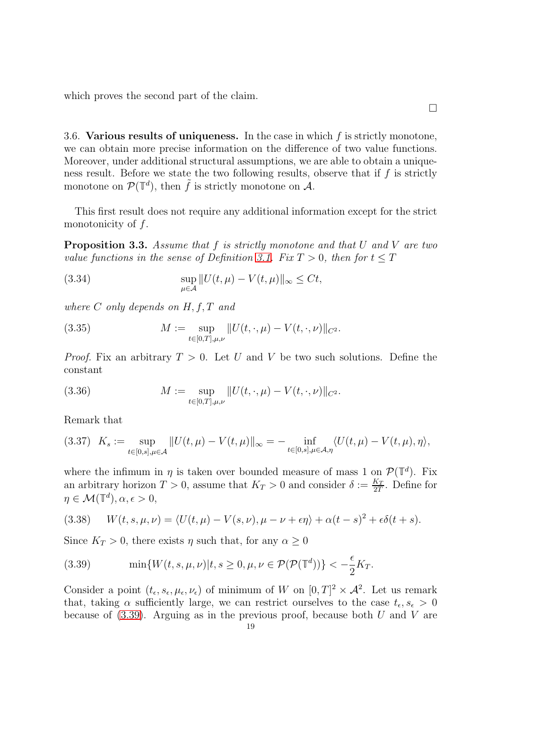which proves the second part of the claim.

<span id="page-18-0"></span>3.6. Various results of uniqueness. In the case in which  $f$  is strictly monotone, we can obtain more precise information on the difference of two value functions. Moreover, under additional structural assumptions, we are able to obtain a uniqueness result. Before we state the two following results, observe that if  $f$  is strictly monotone on  $\mathcal{P}(\mathbb{T}^d)$ , then  $\tilde{f}$  is strictly monotone on  $\mathcal{A}$ .

This first result does not require any additional information except for the strict monotonicity of  $f$ .

<span id="page-18-2"></span>**Proposition 3.3.** Assume that f is strictly monotone and that U and V are two value functions in the sense of Definition [3.1.](#page-15-1) Fix  $T > 0$ , then for  $t \leq T$ 

(3.34) 
$$
\sup_{\mu \in \mathcal{A}} ||U(t,\mu) - V(t,\mu)||_{\infty} \leq Ct,
$$

where  $C$  only depends on  $H, f, T$  and

(3.35) 
$$
M := \sup_{t \in [0,T],\mu,\nu} ||U(t,\cdot,\mu) - V(t,\cdot,\nu)||_{C^2}.
$$

*Proof.* Fix an arbitrary  $T > 0$ . Let U and V be two such solutions. Define the constant

(3.36) 
$$
M := \sup_{t \in [0,T],\mu,\nu} ||U(t,\cdot,\mu) - V(t,\cdot,\nu)||_{C^2}.
$$

Remark that

$$
(3.37)\quad K_s:=\sup_{t\in[0,s],\mu\in\mathcal{A}}\|U(t,\mu)-V(t,\mu)\|_\infty=-\inf_{t\in[0,s],\mu\in\mathcal{A},\eta}\langle U(t,\mu)-V(t,\mu),\eta\rangle,
$$

where the infimum in  $\eta$  is taken over bounded measure of mass 1 on  $\mathcal{P}(\mathbb{T}^d)$ . Fix an arbitrary horizon  $T > 0$ , assume that  $K_T > 0$  and consider  $\delta := \frac{K_T}{2T}$ . Define for  $\eta \in \mathcal{M}(\mathbb{T}^d), \alpha, \epsilon > 0,$ 

(3.38) 
$$
W(t,s,\mu,\nu) = \langle U(t,\mu) - V(s,\nu), \mu - \nu + \epsilon \eta \rangle + \alpha (t-s)^2 + \epsilon \delta (t+s).
$$

Since  $K_T > 0$ , there exists  $\eta$  such that, for any  $\alpha \geq 0$ 

<span id="page-18-1"></span>(3.39) 
$$
\min\{W(t,s,\mu,\nu)|t,s\geq 0,\mu,\nu\in\mathcal{P}(\mathcal{P}(\mathbb{T}^d))\}<-\frac{\epsilon}{2}K_T.
$$

Consider a point  $(t_{\epsilon}, s_{\epsilon}, \mu_{\epsilon}, \nu_{\epsilon})$  of minimum of W on  $[0, T]^2 \times \mathcal{A}^2$ . Let us remark that, taking  $\alpha$  sufficiently large, we can restrict ourselves to the case  $t_{\epsilon}, s_{\epsilon} > 0$ because of  $(3.39)$ . Arguing as in the previous proof, because both U and V are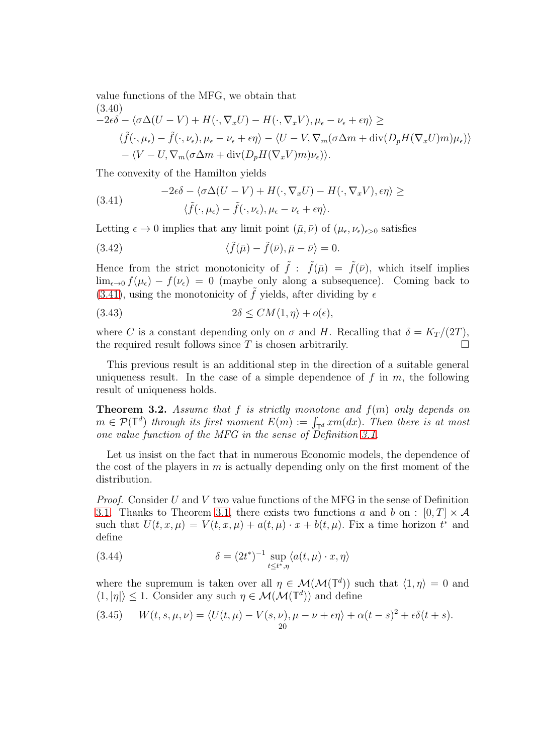value functions of the MFG, we obtain that  $(3.40)$ 

$$
\langle \tilde{J}^{(3,40)}_{-2\epsilon\delta} - \langle \sigma \Delta(U-V) + H(\cdot, \nabla_x U) - H(\cdot, \nabla_x V), \mu_{\epsilon} - \nu_{\epsilon} + \epsilon \eta \rangle \ge
$$
  

$$
\langle \tilde{f}(\cdot, \mu_{\epsilon}) - \tilde{f}(\cdot, \nu_{\epsilon}), \mu_{\epsilon} - \nu_{\epsilon} + \epsilon \eta \rangle - \langle U-V, \nabla_m(\sigma \Delta m + \text{div}(D_p H(\nabla_x U)m)\mu_{\epsilon}) \rangle - \langle V-U, \nabla_m(\sigma \Delta m + \text{div}(D_p H(\nabla_x V)m)\nu_{\epsilon}) \rangle.
$$

The convexity of the Hamilton yields

<span id="page-19-0"></span>(3.41) 
$$
-2\epsilon \delta - \langle \sigma \Delta (U - V) + H(\cdot, \nabla_x U) - H(\cdot, \nabla_x V), \epsilon \eta \rangle \geq
$$

$$
\langle \tilde{f}(\cdot, \mu_{\epsilon}) - \tilde{f}(\cdot, \nu_{\epsilon}), \mu_{\epsilon} - \nu_{\epsilon} + \epsilon \eta \rangle.
$$

Letting  $\epsilon \to 0$  implies that any limit point  $(\bar{\mu}, \bar{\nu})$  of  $(\mu_{\epsilon}, \nu_{\epsilon})_{\epsilon > 0}$  satisfies

(3.42) 
$$
\langle \tilde{f}(\bar{\mu}) - \tilde{f}(\bar{\nu}), \bar{\mu} - \bar{\nu} \rangle = 0.
$$

Hence from the strict monotonicity of  $\tilde{f}$ :  $\tilde{f}(\bar{\mu}) = \tilde{f}(\bar{\nu})$ , which itself implies  $\lim_{\epsilon \to 0} f(\mu_{\epsilon}) - f(\nu_{\epsilon}) = 0$  (maybe only along a subsequence). Coming back to [\(3.41\)](#page-19-0), using the monotonicity of  $\tilde{f}$  yields, after dividing by  $\epsilon$ 

(3.43) 
$$
2\delta \leq CM\langle 1, \eta \rangle + o(\epsilon),
$$

where C is a constant depending only on  $\sigma$  and H. Recalling that  $\delta = K_T/(2T)$ , the required result follows since  $T$  is chosen arbitrarily.  $\Box$ 

This previous result is an additional step in the direction of a suitable general uniqueness result. In the case of a simple dependence of  $f$  in  $m$ , the following result of uniqueness holds.

**Theorem 3.2.** Assume that f is strictly monotone and  $f(m)$  only depends on  $m \in \mathcal{P}(\mathbb{T}^d)$  through its first moment  $E(m) := \int_{\mathbb{T}^d} x m(dx)$ . Then there is at most one value function of the MFG in the sense of Definition [3.1.](#page-15-1)

Let us insist on the fact that in numerous Economic models, the dependence of the cost of the players in  $m$  is actually depending only on the first moment of the distribution.

Proof. Consider U and V two value functions of the MFG in the sense of Definition [3.1.](#page-15-1) Thanks to Theorem [3.1,](#page-16-0) there exists two functions a and b on :  $[0, T] \times \mathcal{A}$ such that  $U(t, x, \mu) = V(t, x, \mu) + a(t, \mu) \cdot x + b(t, \mu)$ . Fix a time horizon  $t^*$  and define

(3.44) 
$$
\delta = (2t^*)^{-1} \sup_{t \le t^*, \eta} \langle a(t, \mu) \cdot x, \eta \rangle
$$

where the supremum is taken over all  $\eta \in \mathcal{M}(\mathcal{M}(\mathbb{T}^d))$  such that  $\langle 1, \eta \rangle = 0$  and  $\langle 1, |\eta| \rangle \leq 1$ . Consider any such  $\eta \in \mathcal{M}(\mathcal{M}(\mathbb{T}^d))$  and define

(3.45) 
$$
W(t,s,\mu,\nu) = \langle U(t,\mu) - V(s,\nu), \mu - \nu + \epsilon \eta \rangle + \alpha (t-s)^2 + \epsilon \delta (t+s).
$$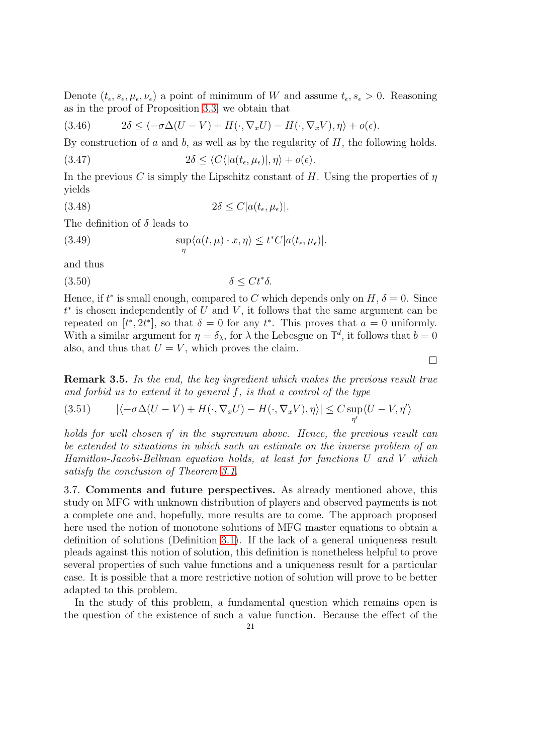Denote  $(t_{\epsilon}, s_{\epsilon}, \mu_{\epsilon}, \nu_{\epsilon})$  a point of minimum of W and assume  $t_{\epsilon}, s_{\epsilon} > 0$ . Reasoning as in the proof of Proposition [3.3,](#page-18-2) we obtain that

(3.46) 
$$
2\delta \leq \langle -\sigma \Delta (U - V) + H(\cdot, \nabla_x U) - H(\cdot, \nabla_x V), \eta \rangle + o(\epsilon).
$$

By construction of a and b, as well as by the regularity of  $H$ , the following holds.

(3.47) 
$$
2\delta \leq \langle C \langle |a(t_{\epsilon}, \mu_{\epsilon})|, \eta \rangle + o(\epsilon).
$$

In the previous C is simply the Lipschitz constant of H. Using the properties of  $\eta$ yields

(3.48) 
$$
2\delta \leq C|a(t_{\epsilon},\mu_{\epsilon})|.
$$

The definition of  $\delta$  leads to

(3.49) 
$$
\sup_{\eta} \langle a(t,\mu) \cdot x, \eta \rangle \leq t^* C |a(t_{\epsilon},\mu_{\epsilon})|.
$$

and thus

$$
(3.50)\t\t \t\t \delta \leq Ct^*\delta.
$$

Hence, if  $t^*$  is small enough, compared to C which depends only on  $H, \delta = 0$ . Since  $t^*$  is chosen independently of U and V, it follows that the same argument can be repeated on  $[t^*, 2t^*]$ , so that  $\delta = 0$  for any  $t^*$ . This proves that  $a = 0$  uniformly. With a similar argument for  $\eta = \delta_{\lambda}$ , for  $\lambda$  the Lebesgue on  $\mathbb{T}^d$ , it follows that  $b = 0$ also, and thus that  $U = V$ , which proves the claim.

 $\Box$ 

Remark 3.5. In the end, the key ingredient which makes the previous result true and forbid us to extend it to general  $f$ , is that a control of the type

$$
(3.51) \qquad |\langle -\sigma \Delta (U - V) + H(\cdot, \nabla_x U) - H(\cdot, \nabla_x V), \eta \rangle| \le C \sup_{\eta'} \langle U - V, \eta' \rangle
$$

holds for well chosen  $\eta'$  in the supremum above. Hence, the previous result can be extended to situations in which such an estimate on the inverse problem of an Hamitlon-Jacobi-Bellman equation holds, at least for functions U and V which satisfy the conclusion of Theorem [3.1.](#page-16-0)

<span id="page-20-0"></span>3.7. Comments and future perspectives. As already mentioned above, this study on MFG with unknown distribution of players and observed payments is not a complete one and, hopefully, more results are to come. The approach proposed here used the notion of monotone solutions of MFG master equations to obtain a definition of solutions (Definition [3.1\)](#page-15-1). If the lack of a general uniqueness result pleads against this notion of solution, this definition is nonetheless helpful to prove several properties of such value functions and a uniqueness result for a particular case. It is possible that a more restrictive notion of solution will prove to be better adapted to this problem.

In the study of this problem, a fundamental question which remains open is the question of the existence of such a value function. Because the effect of the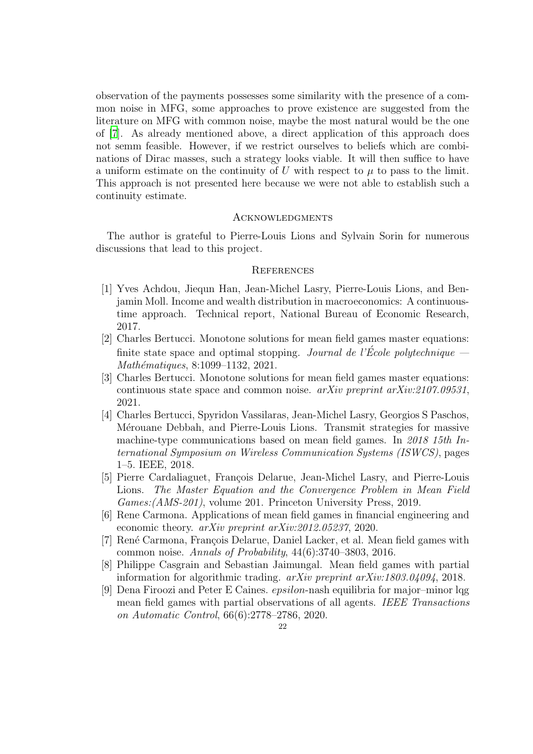observation of the payments possesses some similarity with the presence of a common noise in MFG, some approaches to prove existence are suggested from the literature on MFG with common noise, maybe the most natural would be the one of [\[7\]](#page-21-8). As already mentioned above, a direct application of this approach does not semm feasible. However, if we restrict ourselves to beliefs which are combinations of Dirac masses, such a strategy looks viable. It will then suffice to have a uniform estimate on the continuity of U with respect to  $\mu$  to pass to the limit. This approach is not presented here because we were not able to establish such a continuity estimate.

#### <span id="page-21-0"></span>**ACKNOWLEDGMENTS**

The author is grateful to Pierre-Louis Lions and Sylvain Sorin for numerous discussions that lead to this project.

## <span id="page-21-1"></span>**REFERENCES**

- <span id="page-21-2"></span>[1] Yves Achdou, Jiequn Han, Jean-Michel Lasry, Pierre-Louis Lions, and Benjamin Moll. Income and wealth distribution in macroeconomics: A continuoustime approach. Technical report, National Bureau of Economic Research, 2017.
- <span id="page-21-9"></span>[2] Charles Bertucci. Monotone solutions for mean field games master equations: finite state space and optimal stopping. Journal de l'École polytechnique  $-$ Mathématiques, 8:1099–1132, 2021.
- <span id="page-21-10"></span>[3] Charles Bertucci. Monotone solutions for mean field games master equations: continuous state space and common noise. arXiv preprint arXiv:2107.09531, 2021.
- <span id="page-21-4"></span>[4] Charles Bertucci, Spyridon Vassilaras, Jean-Michel Lasry, Georgios S Paschos, Mérouane Debbah, and Pierre-Louis Lions. Transmit strategies for massive machine-type communications based on mean field games. In 2018 15th International Symposium on Wireless Communication Systems (ISWCS), pages 1–5. IEEE, 2018.
- <span id="page-21-7"></span>[5] Pierre Cardaliaguet, François Delarue, Jean-Michel Lasry, and Pierre-Louis Lions. The Master Equation and the Convergence Problem in Mean Field Games:(AMS-201), volume 201. Princeton University Press, 2019.
- <span id="page-21-3"></span>[6] Rene Carmona. Applications of mean field games in financial engineering and economic theory. arXiv preprint arXiv:2012.05237, 2020.
- <span id="page-21-8"></span>[7] René Carmona, François Delarue, Daniel Lacker, et al. Mean field games with common noise. Annals of Probability, 44(6):3740–3803, 2016.
- <span id="page-21-6"></span>[8] Philippe Casgrain and Sebastian Jaimungal. Mean field games with partial information for algorithmic trading. arXiv preprint arXiv:1803.04094, 2018.
- <span id="page-21-5"></span>[9] Dena Firoozi and Peter E Caines. epsilon-nash equilibria for major–minor lqg mean field games with partial observations of all agents. IEEE Transactions on Automatic Control, 66(6):2778–2786, 2020.